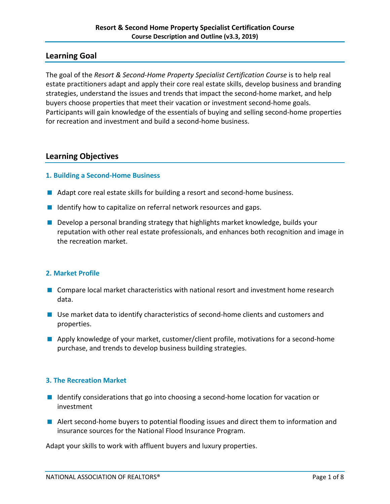## **Learning Goal**

The goal of the *Resort & Second-Home Property Specialist Certification Course* is to help real estate practitioners adapt and apply their core real estate skills, develop business and branding strategies, understand the issues and trends that impact the second-home market, and help buyers choose properties that meet their vacation or investment second-home goals. Participants will gain knowledge of the essentials of buying and selling second-home properties for recreation and investment and build a second-home business.

## **Learning Objectives**

### **1. Building a Second-Home Business**

- Adapt core real estate skills for building a resort and second-home business.
- I Identify how to capitalize on referral network resources and gaps.
- **Develop a personal branding strategy that highlights market knowledge, builds your** reputation with other real estate professionals, and enhances both recognition and image in the recreation market.

### **2. Market Profile**

- **Compare local market characteristics with national resort and investment home research** data.
- Use market data to identify characteristics of second-home clients and customers and properties.
- **Apply knowledge of your market, customer/client profile, motivations for a second-home** purchase, and trends to develop business building strategies.

### **3. The Recreation Market**

- I Identify considerations that go into choosing a second-home location for vacation or investment
- **Alert second-home buyers to potential flooding issues and direct them to information and** insurance sources for the National Flood Insurance Program.

Adapt your skills to work with affluent buyers and luxury properties.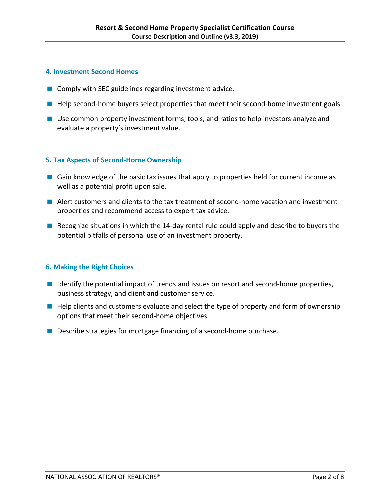### **4. Investment Second Homes**

- Comply with SEC guidelines regarding investment advice.
- **Help second-home buyers select properties that meet their second-home investment goals.**
- Use common property investment forms, tools, and ratios to help investors analyze and evaluate a property's investment value.

#### **5. Tax Aspects of Second-Home Ownership**

- **E** Gain knowledge of the basic tax issues that apply to properties held for current income as well as a potential profit upon sale.
- Alert customers and clients to the tax treatment of second-home vacation and investment properties and recommend access to expert tax advice.
- Recognize situations in which the 14-day rental rule could apply and describe to buyers the potential pitfalls of personal use of an investment property.

### **6. Making the Right Choices**

- I Identify the potential impact of trends and issues on resort and second-home properties, business strategy, and client and customer service.
- **Help clients and customers evaluate and select the type of property and form of ownership** options that meet their second-home objectives.
- **Describe strategies for mortgage financing of a second-home purchase.**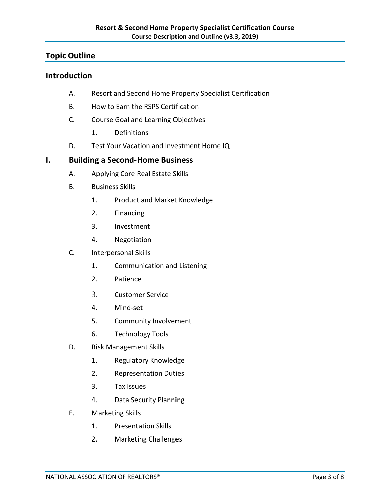## **Topic Outline**

## **Introduction**

- A. Resort and Second Home Property Specialist Certification
- B. How to Earn the RSPS Certification
- C. Course Goal and Learning Objectives
	- 1. Definitions
- D. Test Your Vacation and Investment Home IQ

## **I. Building a Second-Home Business**

- A. Applying Core Real Estate Skills
- B. Business Skills
	- 1. Product and Market Knowledge
	- 2. Financing
	- 3. Investment
	- 4. Negotiation
- C. Interpersonal Skills
	- 1. Communication and Listening
	- 2. Patience
	- 3. Customer Service
	- 4. Mind-set
	- 5. Community Involvement
	- 6. Technology Tools
- D. Risk Management Skills
	- 1. Regulatory Knowledge
	- 2. Representation Duties
	- 3. Tax Issues
	- 4. Data Security Planning
- E. Marketing Skills
	- 1. Presentation Skills
	- 2. Marketing Challenges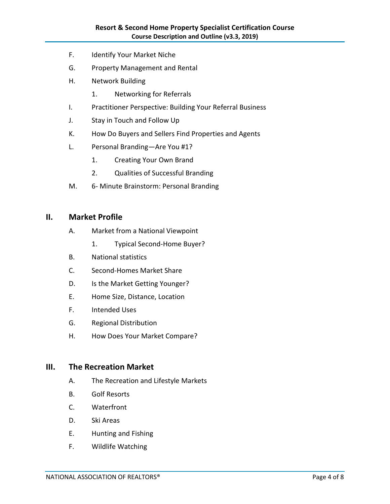- F. Identify Your Market Niche
- G. Property Management and Rental
- H. Network Building
	- 1. Networking for Referrals
- I. Practitioner Perspective: Building Your Referral Business
- J. Stay in Touch and Follow Up
- K. How Do Buyers and Sellers Find Properties and Agents
- L. Personal Branding—Are You #1?
	- 1. Creating Your Own Brand
	- 2. Qualities of Successful Branding
- M. 6- Minute Brainstorm: Personal Branding

### **II. Market Profile**

- A. Market from a National Viewpoint
	- 1. Typical Second-Home Buyer?
- B. National statistics
- C. Second-Homes Market Share
- D. Is the Market Getting Younger?
- E. Home Size, Distance, Location
- F. Intended Uses
- G. Regional Distribution
- H. How Does Your Market Compare?

### **III. The Recreation Market**

- A. The Recreation and Lifestyle Markets
- B. Golf Resorts
- C. Waterfront
- D. Ski Areas
- E. Hunting and Fishing
- F. Wildlife Watching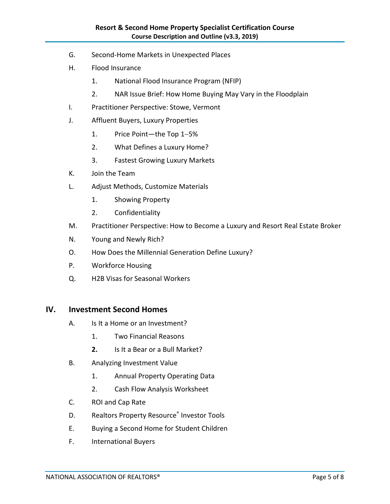- G. Second-Home Markets in Unexpected Places
- H. Flood Insurance
	- 1. National Flood Insurance Program (NFIP)
	- 2. NAR Issue Brief: How Home Buying May Vary in the Floodplain
- I. Practitioner Perspective: Stowe, Vermont
- J. Affluent Buyers, Luxury Properties
	- 1. Price Point—the Top 1−5%
	- 2. What Defines a Luxury Home?
	- 3. Fastest Growing Luxury Markets
- K. Join the Team
- L. Adjust Methods, Customize Materials
	- 1. Showing Property
	- 2. Confidentiality
- M. Practitioner Perspective: How to Become a Luxury and Resort Real Estate Broker
- N. Young and Newly Rich?
- O. How Does the Millennial Generation Define Luxury?
- P. Workforce Housing
- Q. H2B Visas for Seasonal Workers

### **IV. Investment Second Homes**

- A. Is It a Home or an Investment?
	- 1. Two Financial Reasons
	- **2.** Is It a Bear or a Bull Market?
- B. Analyzing Investment Value
	- 1. Annual Property Operating Data
	- 2. Cash Flow Analysis Worksheet
- C. ROI and Cap Rate
- D. Realtors Property Resource<sup>®</sup> Investor Tools
- E. Buying a Second Home for Student Children
- F. International Buyers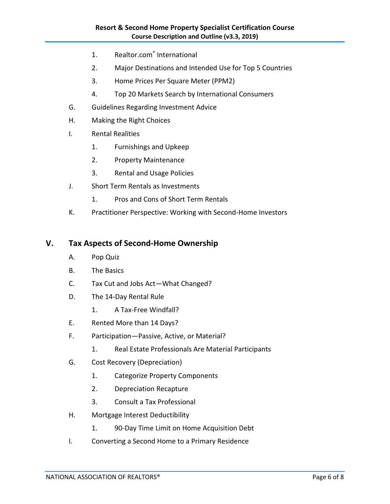- 1. Realtor.com® International
- 2. Major Destinations and Intended Use for Top 5 Countries
- 3. Home Prices Per Square Meter (PPM2)
- 4. Top 20 Markets Search by International Consumers
- G. Guidelines Regarding Investment Advice
- H. Making the Right Choices
- I. Rental Realities
	- 1. Furnishings and Upkeep
	- 2. Property Maintenance
	- 3. Rental and Usage Policies
- J. Short Term Rentals as Investments
	- 1. Pros and Cons of Short Term Rentals
- K. Practitioner Perspective: Working with Second-Home Investors

### **V. Tax Aspects of Second-Home Ownership**

- A. Pop Quiz
- B. The Basics
- C. Tax Cut and Jobs Act—What Changed?
- D. The 14-Day Rental Rule
	- 1. A Tax-Free Windfall?
- E. Rented More than 14 Days?
- F. Participation—Passive, Active, or Material?
	- 1. Real Estate Professionals Are Material Participants
- G. Cost Recovery (Depreciation)
	- 1. Categorize Property Components
	- 2. Depreciation Recapture
	- 3. Consult a Tax Professional
- H. Mortgage Interest Deductibility
	- 1. 90-Day Time Limit on Home Acquisition Debt
- I. Converting a Second Home to a Primary Residence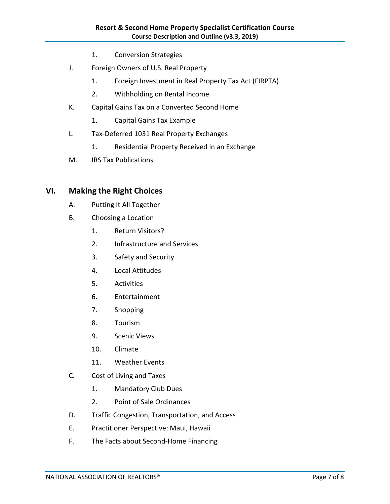- 1. Conversion Strategies
- J. Foreign Owners of U.S. Real Property
	- 1. Foreign Investment in Real Property Tax Act (FIRPTA)
	- 2. Withholding on Rental Income
- K. Capital Gains Tax on a Converted Second Home
	- 1. Capital Gains Tax Example
- L. Tax-Deferred 1031 Real Property Exchanges
	- 1. Residential Property Received in an Exchange
- M. IRS Tax Publications

# **VI. Making the Right Choices**

- A. Putting It All Together
- B. Choosing a Location
	- 1. Return Visitors?
	- 2. Infrastructure and Services
	- 3. Safety and Security
	- 4. Local Attitudes
	- 5. Activities
	- 6. Entertainment
	- 7. Shopping
	- 8. Tourism
	- 9. Scenic Views
	- 10. Climate
	- 11. Weather Events
- C. Cost of Living and Taxes
	- 1. Mandatory Club Dues
	- 2. Point of Sale Ordinances
- D. Traffic Congestion, Transportation, and Access
- E. Practitioner Perspective: Maui, Hawaii
- F. The Facts about Second-Home Financing